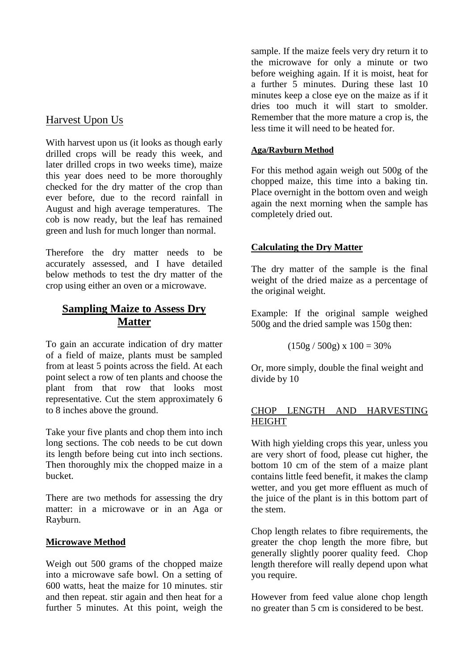## Harvest Upon Us

With harvest upon us (it looks as though early drilled crops will be ready this week, and later drilled crops in two weeks time), maize this year does need to be more thoroughly checked for the dry matter of the crop than ever before, due to the record rainfall in August and high average temperatures. The cob is now ready, but the leaf has remained green and lush for much longer than normal.

Therefore the dry matter needs to be accurately assessed, and I have detailed below methods to test the dry matter of the crop using either an oven or a microwave.

# **Sampling Maize to Assess Dry Matter**

To gain an accurate indication of dry matter of a field of maize, plants must be sampled from at least 5 points across the field. At each point select a row of ten plants and choose the plant from that row that looks most representative. Cut the stem approximately 6 to 8 inches above the ground.

Take your five plants and chop them into inch long sections. The cob needs to be cut down its length before being cut into inch sections. Then thoroughly mix the chopped maize in a bucket.

There are two methods for assessing the dry matter: in a microwave or in an Aga or Rayburn.

## **Microwave Method**

Weigh out 500 grams of the chopped maize into a microwave safe bowl. On a setting of 600 watts, heat the maize for 10 minutes. stir and then repeat. stir again and then heat for a further 5 minutes. At this point, weigh the

sample. If the maize feels very dry return it to the microwave for only a minute or two before weighing again. If it is moist, heat for a further 5 minutes. During these last 10 minutes keep a close eye on the maize as if it dries too much it will start to smolder. Remember that the more mature a crop is, the less time it will need to be heated for.

#### **Aga/Rayburn Method**

For this method again weigh out 500g of the chopped maize, this time into a baking tin. Place overnight in the bottom oven and weigh again the next morning when the sample has completely dried out.

### **Calculating the Dry Matter**

The dry matter of the sample is the final weight of the dried maize as a percentage of the original weight.

Example: If the original sample weighed 500g and the dried sample was 150g then:

```
(150g / 500g) x 100 = 30\%
```
Or, more simply, double the final weight and divide by 10

### CHOP LENGTH AND HARVESTING HEIGHT

With high yielding crops this year, unless you are very short of food, please cut higher, the bottom 10 cm of the stem of a maize plant contains little feed benefit, it makes the clamp wetter, and you get more effluent as much of the juice of the plant is in this bottom part of the stem.

Chop length relates to fibre requirements, the greater the chop length the more fibre, but generally slightly poorer quality feed. Chop length therefore will really depend upon what you require.

However from feed value alone chop length no greater than 5 cm is considered to be best.